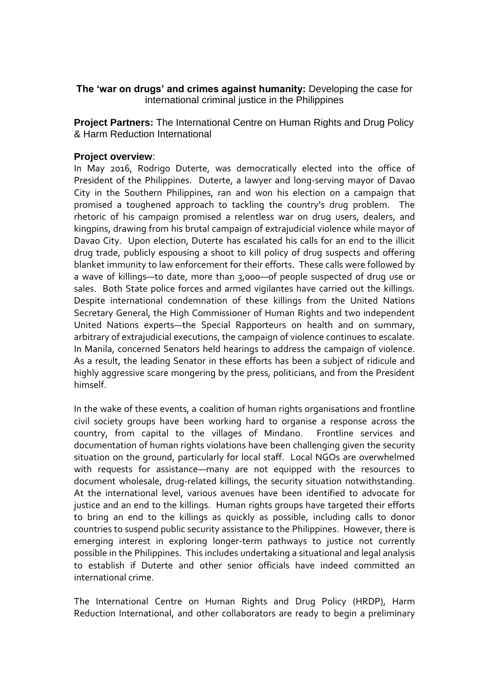**The 'war on drugs' and crimes against humanity:** Developing the case for international criminal justice in the Philippines

**Project Partners:** The International Centre on Human Rights and Drug Policy & Harm Reduction International

### **Project overview**:

In May 2016, Rodrigo Duterte, was democratically elected into the office of President of the Philippines. Duterte, a lawyer and long-serving mayor of Davao City in the Southern Philippines, ran and won his election on a campaign that promised a toughened approach to tackling the country's drug problem. The rhetoric of his campaign promised a relentless war on drug users, dealers, and kingpins, drawing from his brutal campaign of extrajudicial violence while mayor of Davao City. Upon election, Duterte has escalated his calls for an end to the illicit drug trade, publicly espousing a shoot to kill policy of drug suspects and offering blanket immunity to law enforcement for their efforts. These calls were followed by a wave of killings—to date, more than 3,000—of people suspected of drug use or sales. Both State police forces and armed vigilantes have carried out the killings. Despite international condemnation of these killings from the United Nations Secretary General, the High Commissioner of Human Rights and two independent United Nations experts—the Special Rapporteurs on health and on summary, arbitrary of extrajudicial executions, the campaign of violence continues to escalate. In Manila, concerned Senators held hearings to address the campaign of violence. As a result, the leading Senator in these efforts has been a subject of ridicule and highly aggressive scare mongering by the press, politicians, and from the President himself.

In the wake of these events, a coalition of human rights organisations and frontline civil society groups have been working hard to organise a response across the country, from capital to the villages of Mindano. Frontline services and documentation of human rights violations have been challenging given the security situation on the ground, particularly for local staff. Local NGOs are overwhelmed with requests for assistance—many are not equipped with the resources to document wholesale, drug-related killings, the security situation notwithstanding. At the international level, various avenues have been identified to advocate for justice and an end to the killings. Human rights groups have targeted their efforts to bring an end to the killings as quickly as possible, including calls to donor countries to suspend public security assistance to the Philippines. However, there is emerging interest in exploring longer-term pathways to justice not currently possible in the Philippines. This includes undertaking a situational and legal analysis to establish if Duterte and other senior officials have indeed committed an international crime.

The International Centre on Human Rights and Drug Policy (HRDP), Harm Reduction International, and other collaborators are ready to begin a preliminary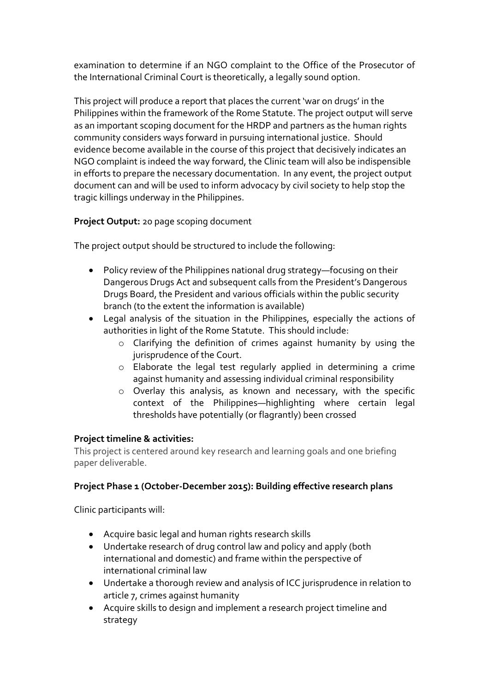examination to determine if an NGO complaint to the Office of the Prosecutor of the International Criminal Court is theoretically, a legally sound option.

This project will produce a report that places the current 'war on drugs' in the Philippines within the framework of the Rome Statute. The project output will serve as an important scoping document for the HRDP and partners as the human rights community considers ways forward in pursuing international justice. Should evidence become available in the course of this project that decisively indicates an NGO complaint is indeed the way forward, the Clinic team will also be indispensible in efforts to prepare the necessary documentation. In any event, the project output document can and will be used to inform advocacy by civil society to help stop the tragic killings underway in the Philippines.

# **Project Output:** 20 page scoping document

The project output should be structured to include the following:

- Policy review of the Philippines national drug strategy—focusing on their Dangerous Drugs Act and subsequent calls from the President's Dangerous Drugs Board, the President and various officials within the public security branch (to the extent the information is available)
- Legal analysis of the situation in the Philippines, especially the actions of authorities in light of the Rome Statute. This should include:
	- o Clarifying the definition of crimes against humanity by using the jurisprudence of the Court.
	- o Elaborate the legal test regularly applied in determining a crime against humanity and assessing individual criminal responsibility
	- o Overlay this analysis, as known and necessary, with the specific context of the Philippines—highlighting where certain legal thresholds have potentially (or flagrantly) been crossed

# **Project timeline & activities:**

This project is centered around key research and learning goals and one briefing paper deliverable.

# **Project Phase 1 (October-December 2015): Building effective research plans**

Clinic participants will:

- Acquire basic legal and human rights research skills
- Undertake research of drug control law and policy and apply (both international and domestic) and frame within the perspective of international criminal law
- Undertake a thorough review and analysis of ICC jurisprudence in relation to article 7, crimes against humanity
- Acquire skills to design and implement a research project timeline and strategy